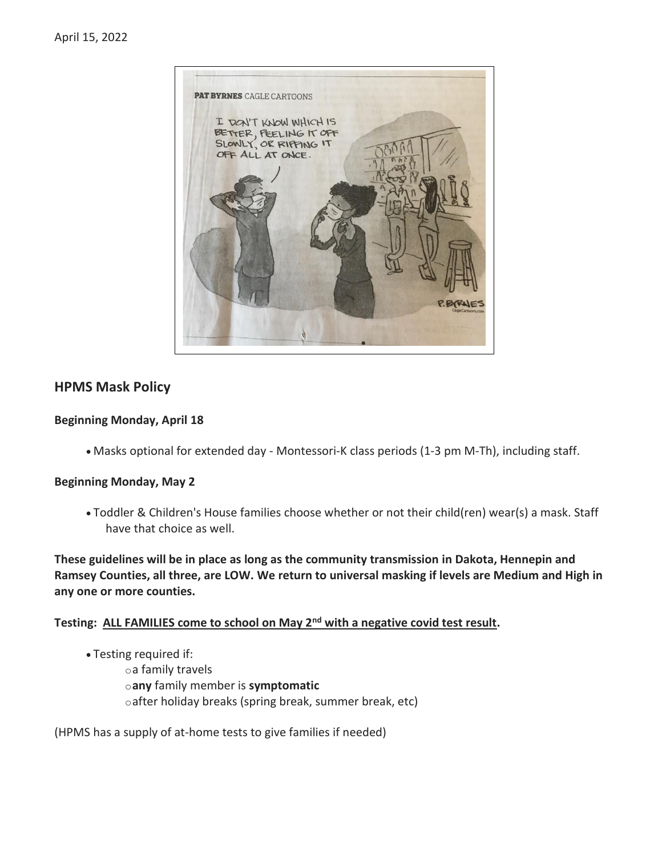

## **HPMS Mask Policy**

#### **Beginning Monday, April 18**

• Masks optional for extended day - Montessori-K class periods (1-3 pm M-Th), including staff.

#### **Beginning Monday, May 2**

• Toddler & Children's House families choose whether or not their child(ren) wear(s) a mask. Staff have that choice as well.

**These guidelines will be in place as long as the community transmission in Dakota, Hennepin and Ramsey Counties, all three, are LOW. We return to universal masking if levels are Medium and High in any one or more counties.**

**Testing: ALL FAMILIES come to school on May 2nd with a negative covid test result.**

• Testing required if: oa family travels o**any** family member is **symptomatic** oafter holiday breaks (spring break, summer break, etc)

(HPMS has a supply of at-home tests to give families if needed)